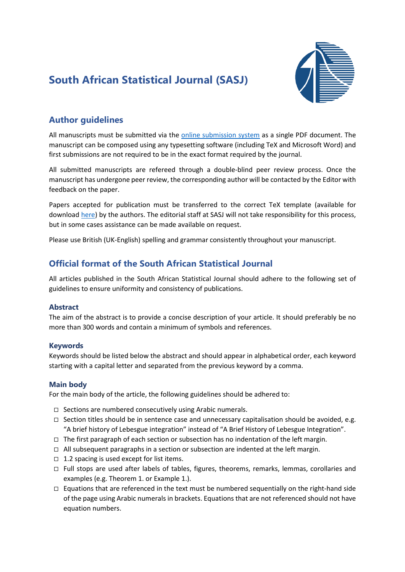## **South African Statistical Journal (SASJ)**



## **Author guidelines**

All manuscripts must be submitted via the [online submission system](https://www.journals.ac.za/index.php/sasj/index) as a single PDF document. The manuscript can be composed using any typesetting software (including TeX and Microsoft Word) and first submissions are not required to be in the exact format required by the journal.

All submitted manuscripts are refereed through a double-blind peer review process. Once the manuscript has undergone peer review, the corresponding author will be contacted by the Editor with feedback on the paper.

Papers accepted for publication must be transferred to the correct TeX template (available for download [here\)](https://www.journals.ac.za/index.php/sasj/libraryFiles/downloadPublic/133) by the authors. The editorial staff at SASJ will not take responsibility for this process, but in some cases assistance can be made available on request.

Please use British (UK-English) spelling and grammar consistently throughout your manuscript.

### **Official format of the South African Statistical Journal**

All articles published in the South African Statistical Journal should adhere to the following set of guidelines to ensure uniformity and consistency of publications.

### **Abstract**

The aim of the abstract is to provide a concise description of your article. It should preferably be no more than 300 words and contain a minimum of symbols and references.

### **Keywords**

Keywords should be listed below the abstract and should appear in alphabetical order, each keyword starting with a capital letter and separated from the previous keyword by a comma.

### **Main body**

For the main body of the article, the following guidelines should be adhered to:

- $\Box$  Sections are numbered consecutively using Arabic numerals.
- $\Box$  Section titles should be in sentence case and unnecessary capitalisation should be avoided, e.g. "A brief history of Lebesgue integration" instead of "A Brief History of Lebesgue Integration".
- $\Box$  The first paragraph of each section or subsection has no indentation of the left margin.
- $\Box$  All subsequent paragraphs in a section or subsection are indented at the left margin.
- $\Box$  1.2 spacing is used except for list items.
- $\Box$  Full stops are used after labels of tables, figures, theorems, remarks, lemmas, corollaries and examples (e.g. Theorem 1. or Example 1.).
- $\Box$  Equations that are referenced in the text must be numbered sequentially on the right-hand side of the page using Arabic numerals in brackets. Equations that are not referenced should not have equation numbers.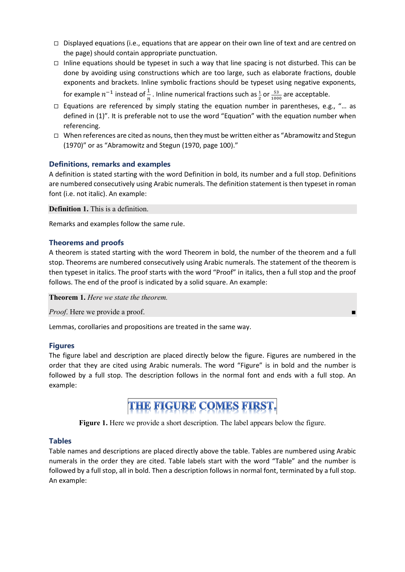- $\Box$  Displayed equations (i.e., equations that are appear on their own line of text and are centred on the page) should contain appropriate punctuation.
- $\Box$  Inline equations should be typeset in such a way that line spacing is not disturbed. This can be done by avoiding using constructions which are too large, such as elaborate fractions, double exponents and brackets. Inline symbolic fractions should be typeset using negative exponents, for example  $n^{-1}$  instead of  $\frac{1}{n}$  . Inline numerical fractions such as  $\frac{1}{2}$  or  $\frac{53}{1000}$  are acceptable.
- $\Box$  Equations are referenced by simply stating the equation number in parentheses, e.g., "... as defined in (1)". It is preferable not to use the word "Equation" with the equation number when referencing.
- $\Box$  When references are cited as nouns, then they must be written either as "Abramowitz and Stegun (1970)" or as "Abramowitz and Stegun (1970, page 100)."

### **Definitions, remarks and examples**

A definition is stated starting with the word Definition in bold, its number and a full stop. Definitions are numbered consecutively using Arabic numerals. The definition statement is then typeset in roman font (i.e. not italic). An example:

**Definition 1.** This is a definition.

Remarks and examples follow the same rule.

### **Theorems and proofs**

A theorem is stated starting with the word Theorem in bold, the number of the theorem and a full stop. Theorems are numbered consecutively using Arabic numerals. The statement of the theorem is then typeset in italics. The proof starts with the word "Proof" in italics, then a full stop and the proof follows. The end of the proof is indicated by a solid square. An example:

**Theorem 1.** *Here we state the theorem.*

*Proof.* Here we provide a proof.

Lemmas, corollaries and propositions are treated in the same way.

### **Figures**

The figure label and description are placed directly below the figure. Figures are numbered in the order that they are cited using Arabic numerals. The word "Figure" is in bold and the number is followed by a full stop. The description follows in the normal font and ends with a full stop. An example:

# THE FIGURE COMES FIRST.

**Figure 1.** Here we provide a short description. The label appears below the figure.

### **Tables**

Table names and descriptions are placed directly above the table. Tables are numbered using Arabic numerals in the order they are cited. Table labels start with the word "Table" and the number is followed by a full stop, all in bold. Then a description follows in normal font, terminated by a full stop. An example: